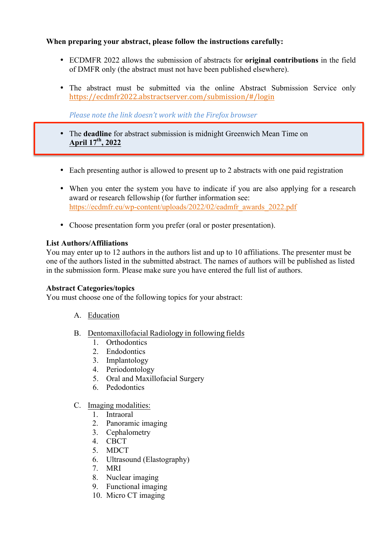#### **When preparing your abstract, please follow the instructions carefully:**

- ECDMFR 2022 allows the submission of abstracts for **original contributions** in the field of DMFR only (the abstract must not have been published elsewhere).
- The abstract must be submitted via the online Abstract Submission Service only https://ecdmfr2022.abstractserver.com/submission/#/login

*Please note the link doesn't work with the Firefox browser* 

- The **deadline** for abstract submission is midnight Greenwich Mean Time on **April 17th, 2022**
- Each presenting author is allowed to present up to 2 abstracts with one paid registration
- When you enter the system you have to indicate if you are also applying for a research award or research fellowship (for further information see: https://ecdmfr.eu/wp-content/uploads/2022/02/eadmfr\_awards\_2022.pdf
- Choose presentation form you prefer (oral or poster presentation).

#### **List Authors/Affiliations**

You may enter up to 12 authors in the authors list and up to 10 affiliations. The presenter must be one of the authors listed in the submitted abstract. The names of authors will be published as listed in the submission form. Please make sure you have entered the full list of authors.

#### **Abstract Categories/topics**

You must choose one of the following topics for your abstract:

- A. Education
- B. Dentomaxillofacial Radiology in following fields
	- 1. Orthodontics
	- 2. Endodontics
	- 3. Implantology
	- 4. Periodontology
	- 5. Oral and Maxillofacial Surgery
	- 6. Pedodontics
- C. Imaging modalities:
	- 1. Intraoral
	- 2. Panoramic imaging
	- 3. Cephalometry
	- 4. CBCT
	- 5. MDCT
	- 6. Ultrasound (Elastography)
	- 7. MRI
	- 8. Nuclear imaging
	- 9. Functional imaging
	- 10. Micro CT imaging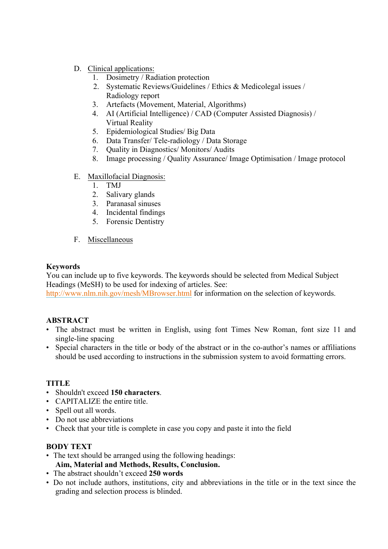# D. Clinical applications:

- 1. Dosimetry / Radiation protection
- 2. Systematic Reviews/Guidelines / Ethics & Medicolegal issues / Radiology report
- 3. Artefacts (Movement, Material, Algorithms)
- 4. AI (Artificial Intelligence) / CAD (Computer Assisted Diagnosis) / Virtual Reality
- 5. Epidemiological Studies/ Big Data
- 6. Data Transfer/ Tele-radiology / Data Storage
- 7. Quality in Diagnostics/ Monitors/ Audits
- 8. Image processing / Quality Assurance/ Image Optimisation / Image protocol

## E. Maxillofacial Diagnosis:

- 1. TMJ
- 2. Salivary glands
- 3. Paranasal sinuses
- 4. Incidental findings
- 5. Forensic Dentistry
- F. Miscellaneous

## **Keywords**

You can include up to five keywords. The keywords should be selected from Medical Subject Headings (MeSH) to be used for indexing of articles. See:

http://www.nlm.nih.gov/mesh/MBrowser.html for information on the selection of keywords.

## **ABSTRACT**

- The abstract must be written in English, using font Times New Roman, font size 11 and single-line spacing
- Special characters in the title or body of the abstract or in the co-author's names or affiliations should be used according to instructions in the submission system to avoid formatting errors.

## **TITLE**

- Shouldn't exceed **150 characters**.
- CAPITALIZE the entire title.
- Spell out all words.
- Do not use abbreviations
- Check that your title is complete in case you copy and paste it into the field

## **BODY TEXT**

- The text should be arranged using the following headings: **Aim, Material and Methods, Results, Conclusion.**
- The abstract shouldn't exceed **250 words**
- Do not include authors, institutions, city and abbreviations in the title or in the text since the grading and selection process is blinded.